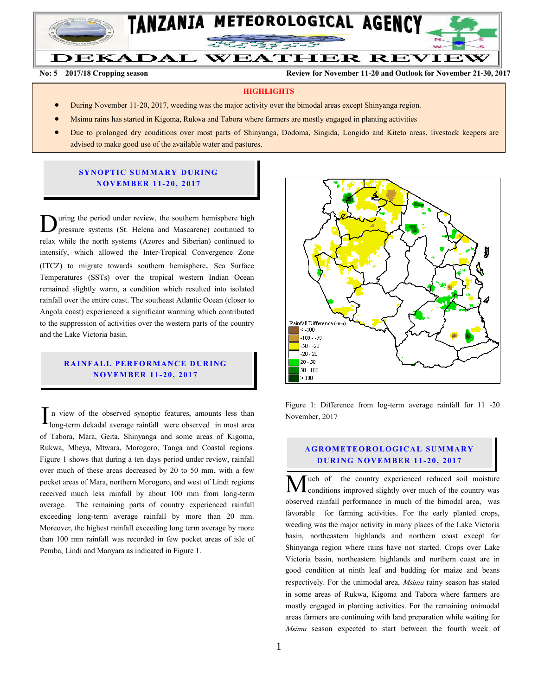

**DEKADAL WEATHER REVIEW** 

**No: 5 2017/18 Cropping season Review for November 11-20 and Outlook for November 21-30, 2017**

#### **HIGHLIGHTS**

- During November 11-20, 2017, weeding was the major activity over the bimodal areas except Shinyanga region.
- Msimu rains has started in Kigoma, Rukwa and Tabora where farmers are mostly engaged in planting activities
- Due to prolonged dry conditions over most parts of Shinyanga, Dodoma, Singida, Longido and Kiteto areas, livestock keepers are advised to make good use of the available water and pastures.

# **SYNOPTIC SUMMARY DURING N O V EMBER 1 1- 20, 2017**

uring the period under review, the southern hemisphere high pressure systems (St. Helena and Mascarene) continued to During the period under review, the southern hemisphere high pressure systems (St. Helena and Mascarene) continued to relax while the north systems (Azores and Siberian) continued to intensify, which allowed the Inter-Tropical Convergence Zone (ITCZ) to migrate towards southern hemisphere. Sea Surface Temperatures (SSTs) over the tropical western Indian Ocean remained slightly warm, a condition which resulted into isolated rainfall over the entire coast. The southeast Atlantic Ocean (closer to Angola coast) experienced a significant warming which contributed to the suppression of activities over the western parts of the country and the Lake Victoria basin.

# **RAINFALL PERFORMANCE DURING N O V EMBER 1 1- 20, 2017**

n view of the observed synoptic features, amounts less than long-term dekadal average rainfall were observed in most area of Tabora, Mara, Geita, Shinyanga and some areas of Kigoma, Rukwa, Mbeya, Mtwara, Morogoro, Tanga and Coastal regions. Figure 1 shows that during a ten days period under review, rainfall over much of these areas decreased by 20 to 50 mm, with a few pocket areas of Mara, northern Morogoro, and west of Lindi regions received much less rainfall by about 100 mm from long-term average. The remaining parts of country experienced rainfall exceeding long-term average rainfall by more than 20 mm. Moreover, the highest rainfall exceeding long term average by more than 100 mm rainfall was recorded in few pocket areas of isle of Pemba, Lindi and Manyara as indicated in Figure 1. I



Figure 1: Difference from log-term average rainfall for 11 -20 November, 2017

### **A G RO METEO R O LOG ICA L SU MMA RY D UR ING N O V EMBER 1 1- 20, 2017**

uch of the country experienced reduced soil moisture conditions improved slightly over much of the country was **M**uch of the country experienced reduced soil moisture<br>observed rainfall performance in much of the bimodal area, was favorable for farming activities. For the early planted crops, weeding was the major activity in many places of the Lake Victoria basin, northeastern highlands and northern coast except for Shinyanga region where rains have not started. Crops over Lake Victoria basin, northeastern highlands and northern coast are in good condition at ninth leaf and budding for maize and beans respectively. For the unimodal area, *Msimu* rainy season has stated in some areas of Rukwa, Kigoma and Tabora where farmers are mostly engaged in planting activities. For the remaining unimodal areas farmers are continuing with land preparation while waiting for Msimu season expected to start between the fourth week of